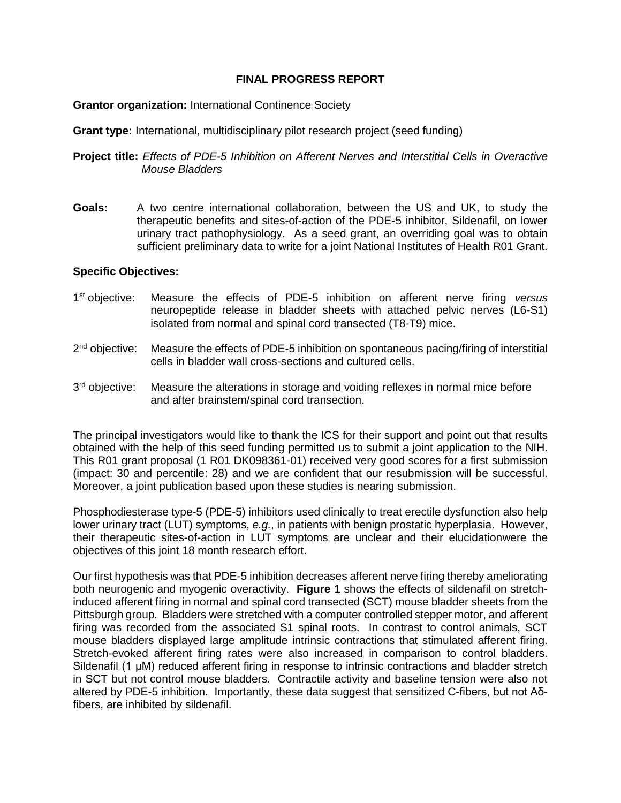## **FINAL PROGRESS REPORT**

## **Grantor organization:** International Continence Society

**Grant type:** International, multidisciplinary pilot research project (seed funding)

**Project title:** *Effects of PDE-5 Inhibition on Afferent Nerves and Interstitial Cells in Overactive Mouse Bladders*

**Goals:** A two centre international collaboration, between the US and UK, to study the therapeutic benefits and sites-of-action of the PDE-5 inhibitor, Sildenafil, on lower urinary tract pathophysiology. As a seed grant, an overriding goal was to obtain sufficient preliminary data to write for a joint National Institutes of Health R01 Grant.

## **Specific Objectives:**

- 1<sup>st</sup> objective: Measure the effects of PDE-5 inhibition on afferent nerve firing *versus* neuropeptide release in bladder sheets with attached pelvic nerves (L6-S1) isolated from normal and spinal cord transected (T8-T9) mice.
- $2<sup>nd</sup>$  objective: Measure the effects of PDE-5 inhibition on spontaneous pacing/firing of interstitial cells in bladder wall cross-sections and cultured cells.
- 3<sup>rd</sup> objective: Measure the alterations in storage and voiding reflexes in normal mice before and after brainstem/spinal cord transection.

The principal investigators would like to thank the ICS for their support and point out that results obtained with the help of this seed funding permitted us to submit a joint application to the NIH. This R01 grant proposal (1 R01 DK098361-01) received very good scores for a first submission (impact: 30 and percentile: 28) and we are confident that our resubmission will be successful. Moreover, a joint publication based upon these studies is nearing submission.

Phosphodiesterase type-5 (PDE-5) inhibitors used clinically to treat erectile dysfunction also help lower urinary tract (LUT) symptoms, *e.g.*, in patients with benign prostatic hyperplasia. However, their therapeutic sites-of-action in LUT symptoms are unclear and their elucidationwere the objectives of this joint 18 month research effort.

Our first hypothesis was that PDE-5 inhibition decreases afferent nerve firing thereby ameliorating both neurogenic and myogenic overactivity. **Figure 1** shows the effects of sildenafil on stretchinduced afferent firing in normal and spinal cord transected (SCT) mouse bladder sheets from the Pittsburgh group. Bladders were stretched with a computer controlled stepper motor, and afferent firing was recorded from the associated S1 spinal roots. In contrast to control animals, SCT mouse bladders displayed large amplitude intrinsic contractions that stimulated afferent firing. Stretch-evoked afferent firing rates were also increased in comparison to control bladders. Sildenafil (1 μM) reduced afferent firing in response to intrinsic contractions and bladder stretch in SCT but not control mouse bladders. Contractile activity and baseline tension were also not altered by PDE-5 inhibition. Importantly, these data suggest that sensitized C-fibers, but not Aδfibers, are inhibited by sildenafil.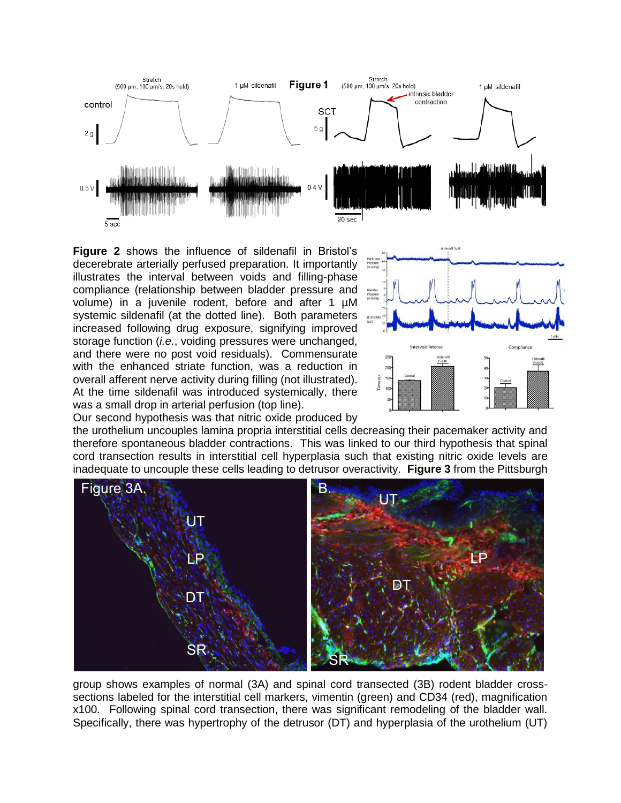

**Figure 2** shows the influence of sildenafil in Bristol's decerebrate arterially perfused preparation. It importantly illustrates the interval between voids and filling-phase compliance (relationship between bladder pressure and volume) in a juvenile rodent, before and after 1 µM systemic sildenafil (at the dotted line). Both parameters increased following drug exposure, signifying improved storage function (*i.e.*, voiding pressures were unchanged, and there were no post void residuals). Commensurate with the enhanced striate function, was a reduction in overall afferent nerve activity during filling (not illustrated). At the time sildenafil was introduced systemically, there was a small drop in arterial perfusion (top line).



Our second hypothesis was that nitric oxide produced by

the urothelium uncouples lamina propria interstitial cells decreasing their pacemaker activity and therefore spontaneous bladder contractions. This was linked to our third hypothesis that spinal cord transection results in interstitial cell hyperplasia such that existing nitric oxide levels are inadequate to uncouple these cells leading to detrusor overactivity. **Figure 3** from the Pittsburgh



group shows examples of normal (3A) and spinal cord transected (3B) rodent bladder crosssections labeled for the interstitial cell markers, vimentin (green) and CD34 (red), magnification x100. Following spinal cord transection, there was significant remodeling of the bladder wall. Specifically, there was hypertrophy of the detrusor (DT) and hyperplasia of the urothelium (UT)